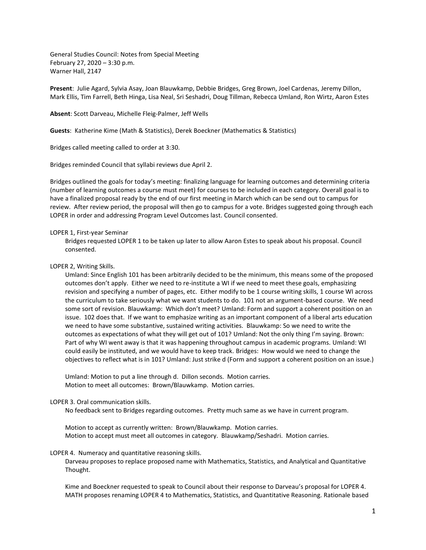General Studies Council: Notes from Special Meeting February 27, 2020 – 3:30 p.m. Warner Hall, 2147

**Present**: Julie Agard, Sylvia Asay, Joan Blauwkamp, Debbie Bridges, Greg Brown, Joel Cardenas, Jeremy Dillon, Mark Ellis, Tim Farrell, Beth Hinga, Lisa Neal, Sri Seshadri, Doug Tillman, Rebecca Umland, Ron Wirtz, Aaron Estes

**Absent**: Scott Darveau, Michelle Fleig-Palmer, Jeff Wells

**Guests**: Katherine Kime (Math & Statistics), Derek Boeckner (Mathematics & Statistics)

Bridges called meeting called to order at 3:30.

Bridges reminded Council that syllabi reviews due April 2.

Bridges outlined the goals for today's meeting: finalizing language for learning outcomes and determining criteria (number of learning outcomes a course must meet) for courses to be included in each category. Overall goal is to have a finalized proposal ready by the end of our first meeting in March which can be send out to campus for review. After review period, the proposal will then go to campus for a vote. Bridges suggested going through each LOPER in order and addressing Program Level Outcomes last. Council consented.

## LOPER 1, First-year Seminar

Bridges requested LOPER 1 to be taken up later to allow Aaron Estes to speak about his proposal. Council consented.

## LOPER 2, Writing Skills.

Umland: Since English 101 has been arbitrarily decided to be the minimum, this means some of the proposed outcomes don't apply. Either we need to re-institute a WI if we need to meet these goals, emphasizing revision and specifying a number of pages, etc. Either modify to be 1 course writing skills, 1 course WI across the curriculum to take seriously what we want students to do. 101 not an argument-based course. We need some sort of revision. Blauwkamp: Which don't meet? Umland: Form and support a coherent position on an issue. 102 does that. If we want to emphasize writing as an important component of a liberal arts education we need to have some substantive, sustained writing activities. Blauwkamp: So we need to write the outcomes as expectations of what they will get out of 101? Umland: Not the only thing I'm saying. Brown: Part of why WI went away is that it was happening throughout campus in academic programs. Umland: WI could easily be instituted, and we would have to keep track. Bridges: How would we need to change the objectives to reflect what is in 101? Umland: Just strike d (Form and support a coherent position on an issue.)

Umland: Motion to put a line through d. Dillon seconds. Motion carries. Motion to meet all outcomes: Brown/Blauwkamp. Motion carries.

## LOPER 3. Oral communication skills.

No feedback sent to Bridges regarding outcomes. Pretty much same as we have in current program.

Motion to accept as currently written: Brown/Blauwkamp. Motion carries. Motion to accept must meet all outcomes in category. Blauwkamp/Seshadri. Motion carries.

## LOPER 4. Numeracy and quantitative reasoning skills.

Darveau proposes to replace proposed name with Mathematics, Statistics, and Analytical and Quantitative Thought.

Kime and Boeckner requested to speak to Council about their response to Darveau's proposal for LOPER 4. MATH proposes renaming LOPER 4 to Mathematics, Statistics, and Quantitative Reasoning. Rationale based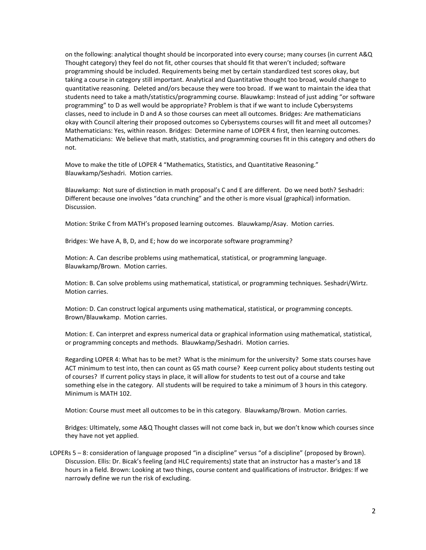on the following: analytical thought should be incorporated into every course; many courses (in current A&Q Thought category) they feel do not fit, other courses that should fit that weren't included; software programming should be included. Requirements being met by certain standardized test scores okay, but taking a course in category still important. Analytical and Quantitative thought too broad, would change to quantitative reasoning. Deleted and/ors because they were too broad. If we want to maintain the idea that students need to take a math/statistics/programming course. Blauwkamp: Instead of just adding "or software programming" to D as well would be appropriate? Problem is that if we want to include Cybersystems classes, need to include in D and A so those courses can meet all outcomes. Bridges: Are mathematicians okay with Council altering their proposed outcomes so Cybersystems courses will fit and meet all outcomes? Mathematicians: Yes, within reason. Bridges: Determine name of LOPER 4 first, then learning outcomes. Mathematicians: We believe that math, statistics, and programming courses fit in this category and others do not.

Move to make the title of LOPER 4 "Mathematics, Statistics, and Quantitative Reasoning." Blauwkamp/Seshadri. Motion carries.

Blauwkamp: Not sure of distinction in math proposal's C and E are different. Do we need both? Seshadri: Different because one involves "data crunching" and the other is more visual (graphical) information. Discussion.

Motion: Strike C from MATH's proposed learning outcomes. Blauwkamp/Asay. Motion carries.

Bridges: We have A, B, D, and E; how do we incorporate software programming?

Motion: A. Can describe problems using mathematical, statistical, or programming language. Blauwkamp/Brown. Motion carries.

Motion: B. Can solve problems using mathematical, statistical, or programming techniques. Seshadri/Wirtz. Motion carries.

Motion: D. Can construct logical arguments using mathematical, statistical, or programming concepts. Brown/Blauwkamp. Motion carries.

Motion: E. Can interpret and express numerical data or graphical information using mathematical, statistical, or programming concepts and methods. Blauwkamp/Seshadri. Motion carries.

Regarding LOPER 4: What has to be met? What is the minimum for the university? Some stats courses have ACT minimum to test into, then can count as GS math course? Keep current policy about students testing out of courses? If current policy stays in place, it will allow for students to test out of a course and take something else in the category. All students will be required to take a minimum of 3 hours in this category. Minimum is MATH 102.

Motion: Course must meet all outcomes to be in this category. Blauwkamp/Brown. Motion carries.

Bridges: Ultimately, some A&Q Thought classes will not come back in, but we don't know which courses since they have not yet applied.

LOPERs 5 – 8: consideration of language proposed "in a discipline" versus "of a discipline" (proposed by Brown). Discussion. Ellis: Dr. Bicak's feeling (and HLC requirements) state that an instructor has a master's and 18 hours in a field. Brown: Looking at two things, course content and qualifications of instructor. Bridges: If we narrowly define we run the risk of excluding.